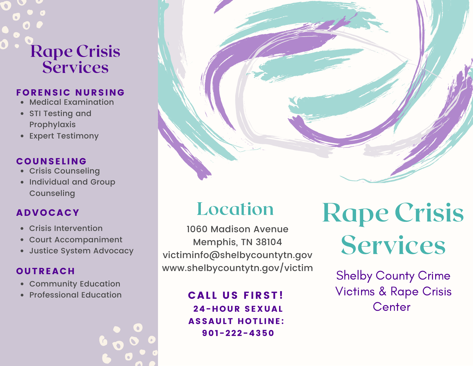## Rape Crisis **Services**

#### FORENSIC NURSING

- Medical Examination
- STI Testing and Prophylaxis
- Expert Testimony

#### **COUNSELING**

- Crisis Counseling
- Individual and Group **Counseling**

#### ADVOCACY

- Crisis Intervention
- Court Accompaniment  $\bullet$
- Justice System Advocacy

#### **OUTREACH**

- Community Education
- Professional Education

## Location

1060 Madison Avenue Memphis, TN 38104 victiminfo@shelbycountytn.gov www.shelbycountytn.gov/victim

#### **CALL US FIRST!** 24-HOUR SEXUAL **ASSAULT HOTLINE:** 901-222-4350

# Rape Crisis Services

Shelby County Crime Victims & Rape Crisis **Center**